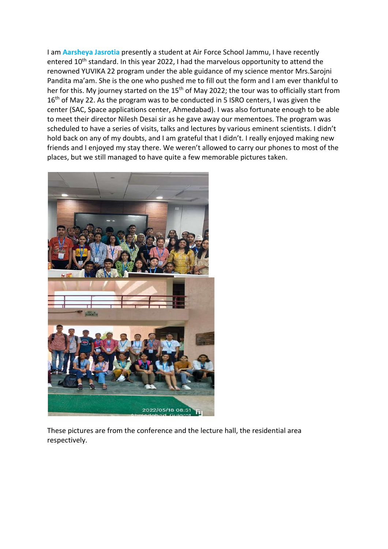I am **Aarsheya Jasrotia** presently a student at Air Force School Jammu, I have recently entered 10<sup>th</sup> standard. In this year 2022, I had the marvelous opportunity to attend the renowned YUVIKA 22 program under the able guidance of my science mentor Mrs.Sarojni Pandita ma'am. She is the one who pushed me to fill out the form and I am ever thankful to her for this. My journey started on the 15<sup>th</sup> of May 2022; the tour was to officially start from 16<sup>th</sup> of May 22. As the program was to be conducted in 5 ISRO centers, I was given the center (SAC, Space applications center, Ahmedabad). I was also fortunate enough to be able to meet their director Nilesh Desai sir as he gave away our mementoes. The program was scheduled to have a series of visits, talks and lectures by various eminent scientists. I didn't hold back on any of my doubts, and I am grateful that I didn't. I really enjoyed making new friends and I enjoyed my stay there. We weren't allowed to carry our phones to most of the places, but we still managed to have quite a few memorable pictures taken.



These pictures are from the conference and the lecture hall, the residential area respectively.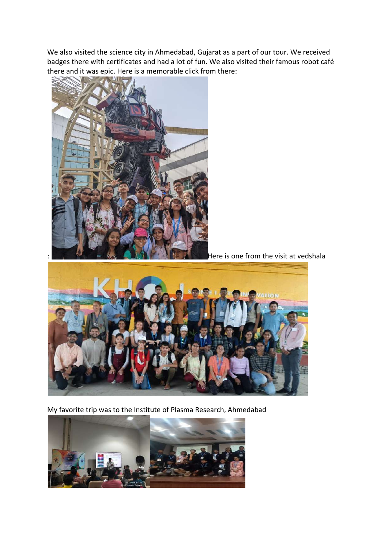We also visited the science city in Ahmedabad, Gujarat as a part of our tour. We received badges there with certificates and had a lot of fun. We also visited their famous robot café there and it was epic. Here is a memorable click from there:



Here is one from the visit at vedshala



My favorite trip was to the Institute of Plasma Research, Ahmedabad

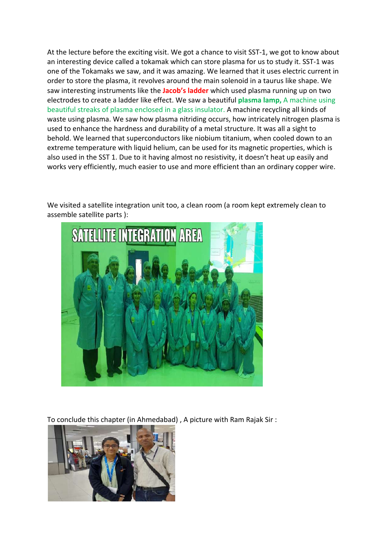At the lecture before the exciting visit. We got a chance to visit SST-1, we got to know about an interesting device called a tokamak which can store plasma for us to study it. SST-1 was one of the Tokamaks we saw, and it was amazing. We learned that it uses electric current in order to store the plasma, it revolves around the main solenoid in a taurus like shape. We saw interesting instruments like the **Jacob's ladder** which used plasma running up on two electrodes to create a ladder like effect. We saw a beautiful **plasma lamp,** A machine using beautiful streaks of plasma enclosed in a glass insulator. A machine recycling all kinds of waste using plasma. We saw how plasma nitriding occurs, how intricately nitrogen plasma is used to enhance the hardness and durability of a metal structure. It was all a sight to behold. We learned that superconductors like niobium titanium, when cooled down to an extreme temperature with liquid helium, can be used for its magnetic properties, which is also used in the SST 1. Due to it having almost no resistivity, it doesn't heat up easily and works very efficiently, much easier to use and more efficient than an ordinary copper wire.

We visited a satellite integration unit too, a clean room (a room kept extremely clean to assemble satellite parts ):



To conclude this chapter (in Ahmedabad) , A picture with Ram Rajak Sir :

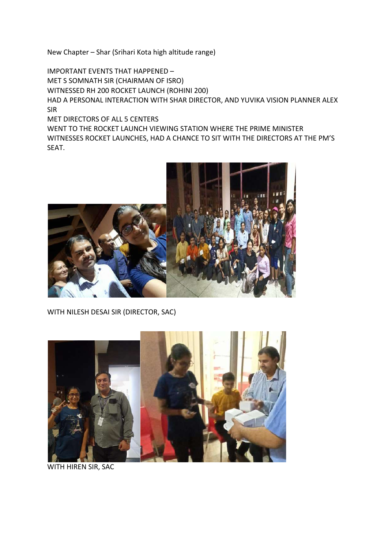New Chapter – Shar (Srihari Kota high altitude range)

IMPORTANT EVENTS THAT HAPPENED – MET S SOMNATH SIR (CHAIRMAN OF ISRO) WITNESSED RH 200 ROCKET LAUNCH (ROHINI 200) HAD A PERSONAL INTERACTION WITH SHAR DIRECTOR, AND YUVIKA VISION PLANNER ALEX SIR MET DIRECTORS OF ALL 5 CENTERS WENT TO THE ROCKET LAUNCH VIEWING STATION WHERE THE PRIME MINISTER

WITNESSES ROCKET LAUNCHES, HAD A CHANCE TO SIT WITH THE DIRECTORS AT THE PM'S SEAT.



WITH NILESH DESAI SIR (DIRECTOR, SAC)



WITH HIREN SIR, SAC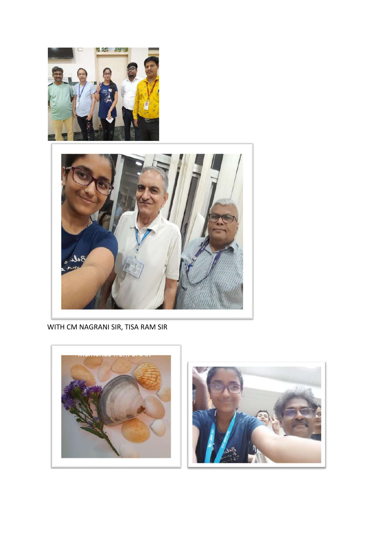

WITH CM NAGRANI SIR, TISA RAM SIR



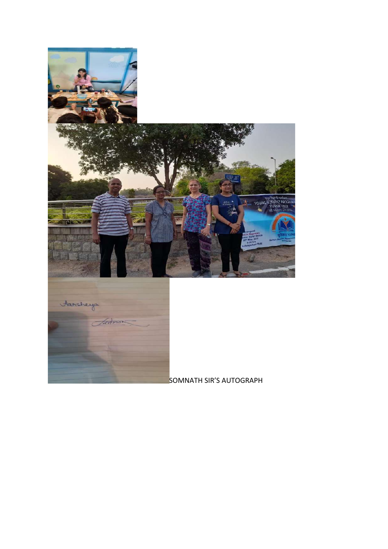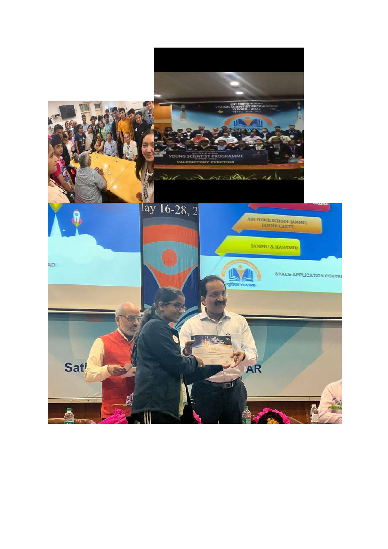